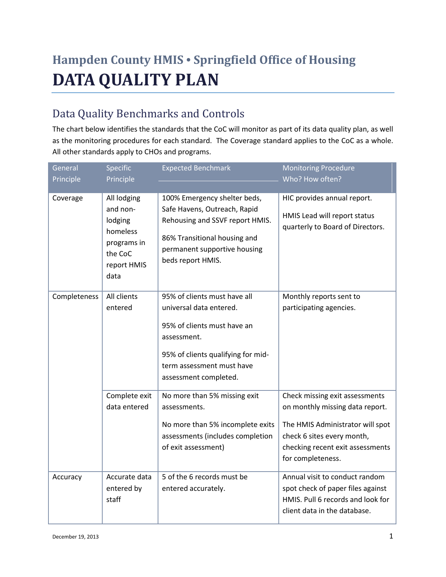# **Hampden County HMIS • Springfield Office of Housing DATA QUALITY PLAN**

# Data Quality Benchmarks and Controls

The chart below identifies the standards that the CoC will monitor as part of its data quality plan, as well as the monitoring procedures for each standard. The Coverage standard applies to the CoC as a whole. All other standards apply to CHOs and programs.

| General      | Specific                                                                                        | <b>Expected Benchmark</b>                                                                                                                                                                         | <b>Monitoring Procedure</b>                                                                                                                                                                  |
|--------------|-------------------------------------------------------------------------------------------------|---------------------------------------------------------------------------------------------------------------------------------------------------------------------------------------------------|----------------------------------------------------------------------------------------------------------------------------------------------------------------------------------------------|
| Principle    | Principle                                                                                       |                                                                                                                                                                                                   | Who? How often?                                                                                                                                                                              |
| Coverage     | All lodging<br>and non-<br>lodging<br>homeless<br>programs in<br>the CoC<br>report HMIS<br>data | 100% Emergency shelter beds,<br>Safe Havens, Outreach, Rapid<br>Rehousing and SSVF report HMIS.<br>86% Transitional housing and<br>permanent supportive housing<br>beds report HMIS.              | HIC provides annual report.<br>HMIS Lead will report status<br>quarterly to Board of Directors.                                                                                              |
| Completeness | All clients<br>entered                                                                          | 95% of clients must have all<br>universal data entered.<br>95% of clients must have an<br>assessment.<br>95% of clients qualifying for mid-<br>term assessment must have<br>assessment completed. | Monthly reports sent to<br>participating agencies.                                                                                                                                           |
|              | Complete exit<br>data entered                                                                   | No more than 5% missing exit<br>assessments.<br>No more than 5% incomplete exits<br>assessments (includes completion<br>of exit assessment)                                                       | Check missing exit assessments<br>on monthly missing data report.<br>The HMIS Administrator will spot<br>check 6 sites every month,<br>checking recent exit assessments<br>for completeness. |
| Accuracy     | Accurate data<br>entered by<br>staff                                                            | 5 of the 6 records must be<br>entered accurately.                                                                                                                                                 | Annual visit to conduct random<br>spot check of paper files against<br>HMIS. Pull 6 records and look for<br>client data in the database.                                                     |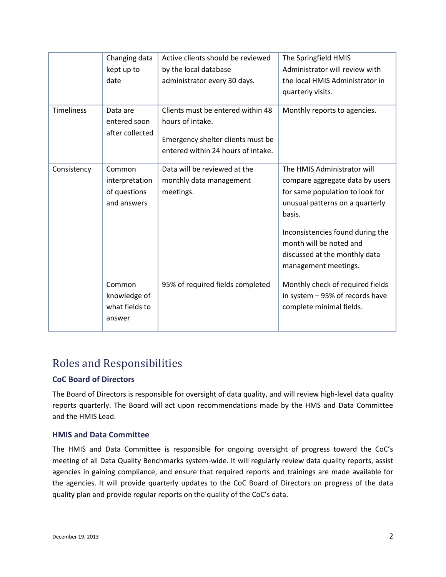|                   | Changing data   | Active clients should be reviewed  | The Springfield HMIS             |
|-------------------|-----------------|------------------------------------|----------------------------------|
|                   | kept up to      | by the local database              | Administrator will review with   |
|                   | date            | administrator every 30 days.       | the local HMIS Administrator in  |
|                   |                 |                                    | quarterly visits.                |
|                   |                 |                                    |                                  |
| <b>Timeliness</b> | Data are        | Clients must be entered within 48  | Monthly reports to agencies.     |
|                   | entered soon    | hours of intake.                   |                                  |
|                   | after collected | Emergency shelter clients must be  |                                  |
|                   |                 | entered within 24 hours of intake. |                                  |
|                   |                 |                                    |                                  |
| Consistency       | Common          | Data will be reviewed at the       | The HMIS Administrator will      |
|                   | interpretation  | monthly data management            | compare aggregate data by users  |
|                   | of questions    | meetings.                          | for same population to look for  |
|                   | and answers     |                                    | unusual patterns on a quarterly  |
|                   |                 |                                    | basis.                           |
|                   |                 |                                    | Inconsistencies found during the |
|                   |                 |                                    | month will be noted and          |
|                   |                 |                                    | discussed at the monthly data    |
|                   |                 |                                    | management meetings.             |
|                   |                 |                                    |                                  |
|                   | Common          | 95% of required fields completed   | Monthly check of required fields |
|                   | knowledge of    |                                    | in system - 95% of records have  |
|                   | what fields to  |                                    | complete minimal fields.         |
|                   | answer          |                                    |                                  |
|                   |                 |                                    |                                  |

## Roles and Responsibilities

#### **CoC Board of Directors**

The Board of Directors is responsible for oversight of data quality, and will review high-level data quality reports quarterly. The Board will act upon recommendations made by the HMS and Data Committee and the HMIS Lead.

#### **HMIS and Data Committee**

The HMIS and Data Committee is responsible for ongoing oversight of progress toward the CoC's meeting of all Data Quality Benchmarks system-wide. It will regularly review data quality reports, assist agencies in gaining compliance, and ensure that required reports and trainings are made available for the agencies. It will provide quarterly updates to the CoC Board of Directors on progress of the data quality plan and provide regular reports on the quality of the CoC's data.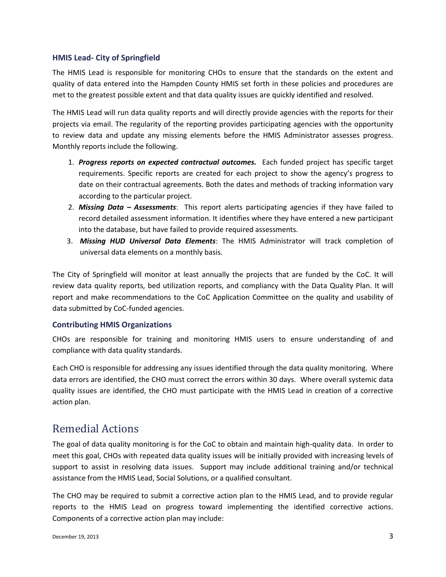#### **HMIS Lead- City of Springfield**

The HMIS Lead is responsible for monitoring CHOs to ensure that the standards on the extent and quality of data entered into the Hampden County HMIS set forth in these policies and procedures are met to the greatest possible extent and that data quality issues are quickly identified and resolved.

The HMIS Lead will run data quality reports and will directly provide agencies with the reports for their projects via email. The regularity of the reporting provides participating agencies with the opportunity to review data and update any missing elements before the HMIS Administrator assesses progress. Monthly reports include the following.

- 1. *Progress reports on expected contractual outcomes.* Each funded project has specific target requirements. Specific reports are created for each project to show the agency's progress to date on their contractual agreements. Both the dates and methods of tracking information vary according to the particular project.
- 2. *Missing Data – Assessments*: This report alerts participating agencies if they have failed to record detailed assessment information. It identifies where they have entered a new participant into the database, but have failed to provide required assessments.
- 3. *Missing HUD Universal Data Elements*: The HMIS Administrator will track completion of universal data elements on a monthly basis.

The City of Springfield will monitor at least annually the projects that are funded by the CoC. It will review data quality reports, bed utilization reports, and compliancy with the Data Quality Plan. It will report and make recommendations to the CoC Application Committee on the quality and usability of data submitted by CoC-funded agencies.

#### **Contributing HMIS Organizations**

CHOs are responsible for training and monitoring HMIS users to ensure understanding of and compliance with data quality standards.

Each CHO is responsible for addressing any issues identified through the data quality monitoring. Where data errors are identified, the CHO must correct the errors within 30 days. Where overall systemic data quality issues are identified, the CHO must participate with the HMIS Lead in creation of a corrective action plan.

### Remedial Actions

The goal of data quality monitoring is for the CoC to obtain and maintain high-quality data. In order to meet this goal, CHOs with repeated data quality issues will be initially provided with increasing levels of support to assist in resolving data issues. Support may include additional training and/or technical assistance from the HMIS Lead, Social Solutions, or a qualified consultant.

The CHO may be required to submit a corrective action plan to the HMIS Lead, and to provide regular reports to the HMIS Lead on progress toward implementing the identified corrective actions. Components of a corrective action plan may include: